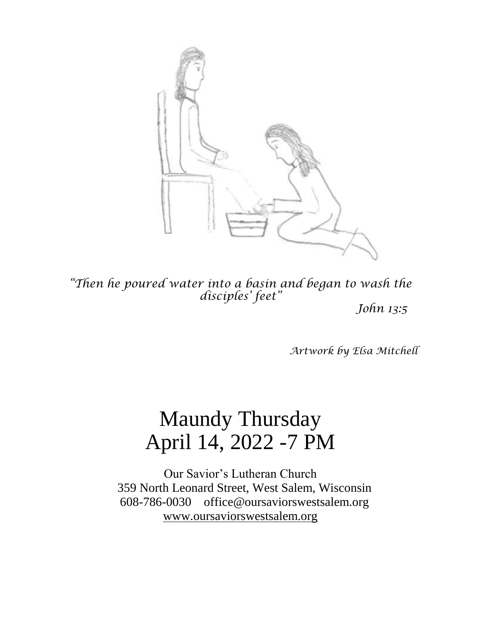

*"Then he poured water into a basin and began to wash the disciples' feet"*

*John 13:5*

*Artwork by Elsa Mitchell*

# Maundy Thursday April 14, 2022 -7 PM

Our Savior's Lutheran Church 359 North Leonard Street, West Salem, Wisconsin 608-786-0030 office@oursaviorswestsalem.org [www.oursaviorswestsalem.org](http://www.oursaviorswestsalem.org/)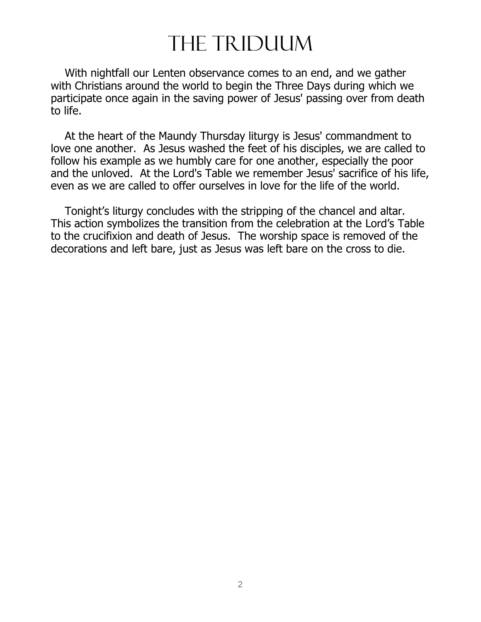# The Triduum

 With nightfall our Lenten observance comes to an end, and we gather with Christians around the world to begin the Three Days during which we participate once again in the saving power of Jesus' passing over from death to life.

 At the heart of the Maundy Thursday liturgy is Jesus' commandment to love one another. As Jesus washed the feet of his disciples, we are called to follow his example as we humbly care for one another, especially the poor and the unloved. At the Lord's Table we remember Jesus' sacrifice of his life, even as we are called to offer ourselves in love for the life of the world.

 Tonight's liturgy concludes with the stripping of the chancel and altar. This action symbolizes the transition from the celebration at the Lord's Table to the crucifixion and death of Jesus. The worship space is removed of the decorations and left bare, just as Jesus was left bare on the cross to die.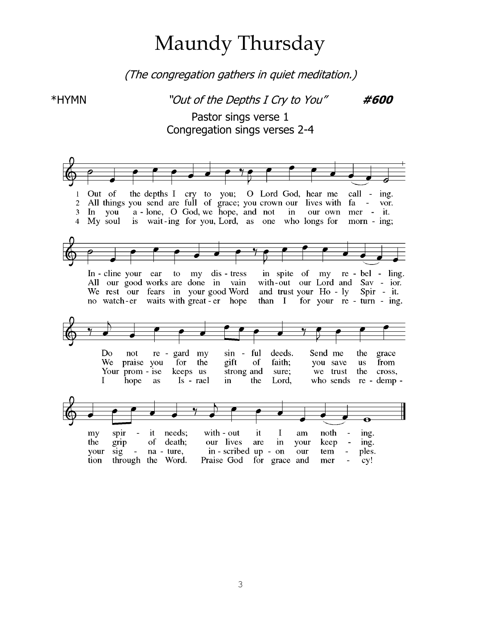# Maundy Thursday

(The congregation gathers in quiet meditation.)

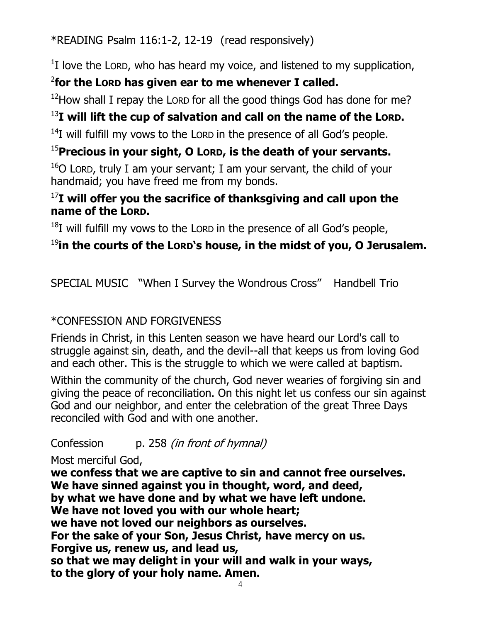\*READING Psalm 116:1-2, 12-19 (read responsively)

 $1$ I love the LORD, who has heard my voice, and listened to my supplication,

## 2 **for the LORD has given ear to me whenever I called.**

 $12$ How shall I repay the LORD for all the good things God has done for me?

## <sup>13</sup>**I will lift the cup of salvation and call on the name of the LORD.**

 $14$ I will fulfill my vows to the LORD in the presence of all God's people.

## <sup>15</sup>**Precious in your sight, O LORD, is the death of your servants.**

 $16$ O LORD, truly I am your servant; I am your servant, the child of your handmaid; you have freed me from my bonds.

### <sup>17</sup>**I will offer you the sacrifice of thanksgiving and call upon the name of the LORD.**

 $^{18}$ I will fulfill my vows to the LORD in the presence of all God's people,

## <sup>19</sup>**in the courts of the LORD's house, in the midst of you, O Jerusalem.**

SPECIAL MUSIC "When I Survey the Wondrous Cross" Handbell Trio

## \*CONFESSION AND FORGIVENESS

Friends in Christ, in this Lenten season we have heard our Lord's call to struggle against sin, death, and the devil--all that keeps us from loving God and each other. This is the struggle to which we were called at baptism.

Within the community of the church, God never wearies of forgiving sin and giving the peace of reconciliation. On this night let us confess our sin against God and our neighbor, and enter the celebration of the great Three Days reconciled with God and with one another.

Confession p. 258 *(in front of hymnal)* 

Most merciful God,

**we confess that we are captive to sin and cannot free ourselves. We have sinned against you in thought, word, and deed, by what we have done and by what we have left undone. We have not loved you with our whole heart; we have not loved our neighbors as ourselves. For the sake of your Son, Jesus Christ, have mercy on us. Forgive us, renew us, and lead us, so that we may delight in your will and walk in your ways, to the glory of your holy name. Amen.**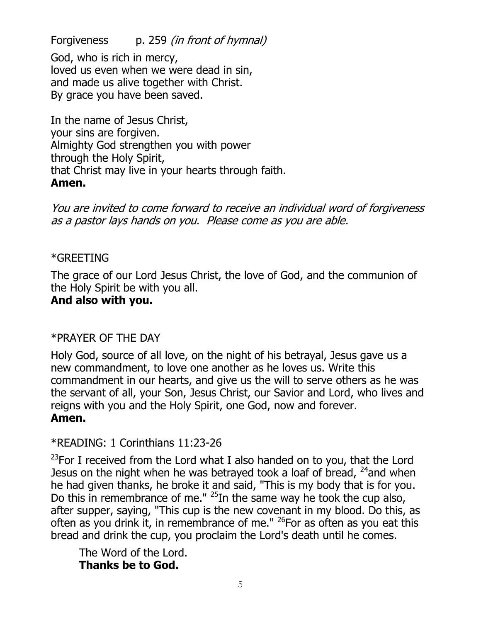Forgiveness p. 259 *(in front of hymnal)* 

God, who is rich in mercy, loved us even when we were dead in sin, and made us alive together with Christ. By grace you have been saved.

In the name of Jesus Christ, your sins are forgiven. Almighty God strengthen you with power through the Holy Spirit, that Christ may live in your hearts through faith. **Amen.**

You are invited to come forward to receive an individual word of forgiveness as a pastor lays hands on you. Please come as you are able.

#### \*GREETING

The grace of our Lord Jesus Christ, the love of God, and the communion of the Holy Spirit be with you all.

#### **And also with you.**

#### \*PRAYER OF THE DAY

Holy God, source of all love, on the night of his betrayal, Jesus gave us a new commandment, to love one another as he loves us. Write this commandment in our hearts, and give us the will to serve others as he was the servant of all, your Son, Jesus Christ, our Savior and Lord, who lives and reigns with you and the Holy Spirit, one God, now and forever. **Amen.**

#### \*READING: 1 Corinthians 11:23-26

 $^{23}$ For I received from the Lord what I also handed on to you, that the Lord Jesus on the night when he was betrayed took a loaf of bread,  $^{24}$  and when he had given thanks, he broke it and said, "This is my body that is for you. Do this in remembrance of me."  $^{25}$ In the same way he took the cup also, after supper, saying, "This cup is the new covenant in my blood. Do this, as often as you drink it, in remembrance of me."  $^{26}$  For as often as you eat this bread and drink the cup, you proclaim the Lord's death until he comes.

The Word of the Lord. **Thanks be to God.**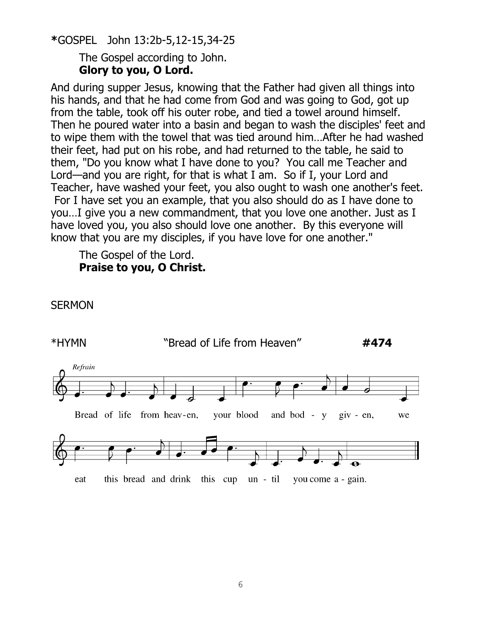**\***GOSPEL John 13:2b-5,12-15,34-25

The Gospel according to John. **Glory to you, O Lord.**

And during supper Jesus, knowing that the Father had given all things into his hands, and that he had come from God and was going to God, got up from the table, took off his outer robe, and tied a towel around himself. Then he poured water into a basin and began to wash the disciples' feet and to wipe them with the towel that was tied around him…After he had washed their feet, had put on his robe, and had returned to the table, he said to them, "Do you know what I have done to you? You call me Teacher and Lord—and you are right, for that is what I am. So if I, your Lord and Teacher, have washed your feet, you also ought to wash one another's feet. For I have set you an example, that you also should do as I have done to you…I give you a new commandment, that you love one another. Just as I have loved you, you also should love one another. By this everyone will know that you are my disciples, if you have love for one another."

The Gospel of the Lord. **Praise to you, O Christ.**



**SERMON**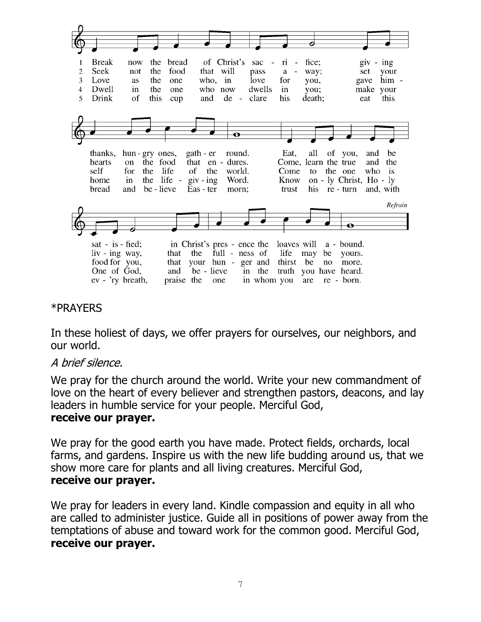

#### \*PRAYERS

In these holiest of days, we offer prayers for ourselves, our neighbors, and our world.

#### A brief silence.

We pray for the church around the world. Write your new commandment of love on the heart of every believer and strengthen pastors, deacons, and lay leaders in humble service for your people. Merciful God,

#### **receive our prayer.**

We pray for the good earth you have made. Protect fields, orchards, local farms, and gardens. Inspire us with the new life budding around us, that we show more care for plants and all living creatures. Merciful God, **receive our prayer.**

We pray for leaders in every land. Kindle compassion and equity in all who are called to administer justice. Guide all in positions of power away from the temptations of abuse and toward work for the common good. Merciful God, **receive our prayer.**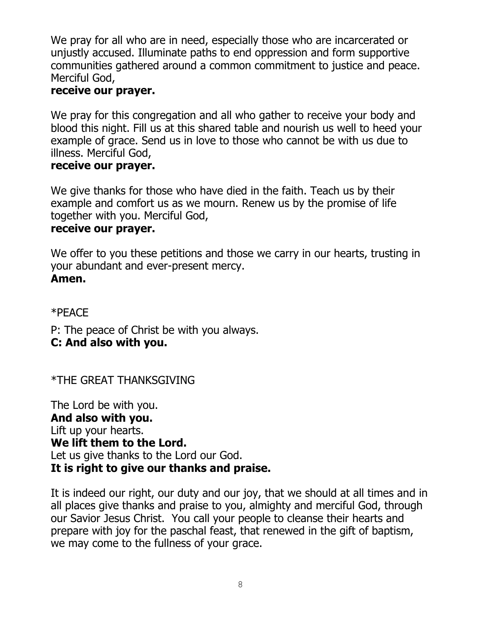We pray for all who are in need, especially those who are incarcerated or unjustly accused. Illuminate paths to end oppression and form supportive communities gathered around a common commitment to justice and peace. Merciful God,

#### **receive our prayer.**

We pray for this congregation and all who gather to receive your body and blood this night. Fill us at this shared table and nourish us well to heed your example of grace. Send us in love to those who cannot be with us due to illness. Merciful God,

#### **receive our prayer.**

We give thanks for those who have died in the faith. Teach us by their example and comfort us as we mourn. Renew us by the promise of life together with you. Merciful God,

#### **receive our prayer.**

We offer to you these petitions and those we carry in our hearts, trusting in your abundant and ever-present mercy. **Amen.**

\*PEACE

P: The peace of Christ be with you always. **C: And also with you.**

\*THE GREAT THANKSGIVING

The Lord be with you. **And also with you.** Lift up your hearts. **We lift them to the Lord.** Let us give thanks to the Lord our God. **It is right to give our thanks and praise.**

It is indeed our right, our duty and our joy, that we should at all times and in all places give thanks and praise to you, almighty and merciful God, through our Savior Jesus Christ. You call your people to cleanse their hearts and prepare with joy for the paschal feast, that renewed in the gift of baptism, we may come to the fullness of your grace.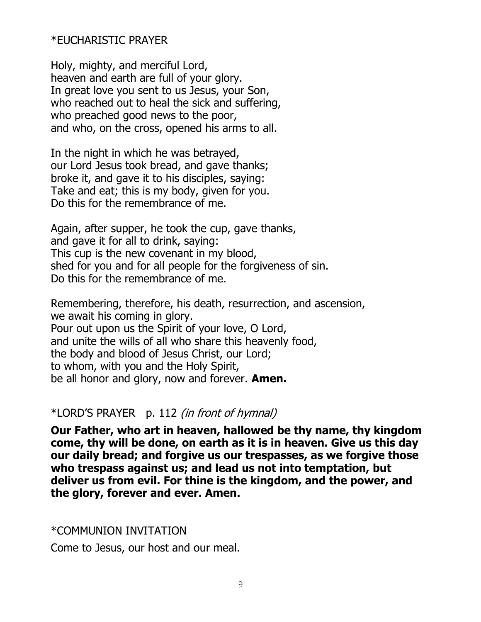\*EUCHARISTIC PRAYER

Holy, mighty, and merciful Lord, heaven and earth are full of your glory. In great love you sent to us Jesus, your Son, who reached out to heal the sick and suffering, who preached good news to the poor, and who, on the cross, opened his arms to all.

In the night in which he was betrayed, our Lord Jesus took bread, and gave thanks; broke it, and gave it to his disciples, saying: Take and eat; this is my body, given for you. Do this for the remembrance of me.

Again, after supper, he took the cup, gave thanks, and gave it for all to drink, saying: This cup is the new covenant in my blood, shed for you and for all people for the forgiveness of sin. Do this for the remembrance of me.

Remembering, therefore, his death, resurrection, and ascension, we await his coming in glory. Pour out upon us the Spirit of your love, O Lord, and unite the wills of all who share this heavenly food, the body and blood of Jesus Christ, our Lord; to whom, with you and the Holy Spirit, be all honor and glory, now and forever. **Amen.**

#### \*LORD'S PRAYER p. 112 (in front of hymnal)

**Our Father, who art in heaven, hallowed be thy name, thy kingdom come, thy will be done, on earth as it is in heaven. Give us this day our daily bread; and forgive us our trespasses, as we forgive those who trespass against us; and lead us not into temptation, but deliver us from evil. For thine is the kingdom, and the power, and the glory, forever and ever. Amen.**

#### \*COMMUNION INVITATION

Come to Jesus, our host and our meal.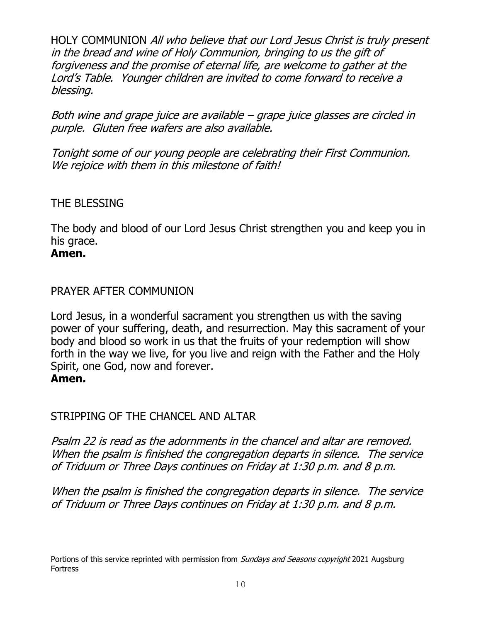HOLY COMMUNION All who believe that our Lord Jesus Christ is truly present in the bread and wine of Holy Communion, bringing to us the gift of forgiveness and the promise of eternal life, are welcome to gather at the Lord's Table. Younger children are invited to come forward to receive a blessing.

Both wine and grape juice are available – grape juice glasses are circled in purple. Gluten free wafers are also available.

Tonight some of our young people are celebrating their First Communion. We rejoice with them in this milestone of faith!

#### THE BLESSING

The body and blood of our Lord Jesus Christ strengthen you and keep you in his grace.

#### **Amen.**

#### PRAYER AFTER COMMUNION

Lord Jesus, in a wonderful sacrament you strengthen us with the saving power of your suffering, death, and resurrection. May this sacrament of your body and blood so work in us that the fruits of your redemption will show forth in the way we live, for you live and reign with the Father and the Holy Spirit, one God, now and forever.

#### **Amen.**

### STRIPPING OF THE CHANCEL AND ALTAR

Psalm 22 is read as the adornments in the chancel and altar are removed. When the psalm is finished the congregation departs in silence. The service of Triduum or Three Days continues on Friday at 1:30 p.m. and 8 p.m.

When the psalm is finished the congregation departs in silence. The service of Triduum or Three Days continues on Friday at 1:30 p.m. and 8 p.m.

Portions of this service reprinted with permission from *Sundays and Seasons copyright* 2021 Augsburg Fortress